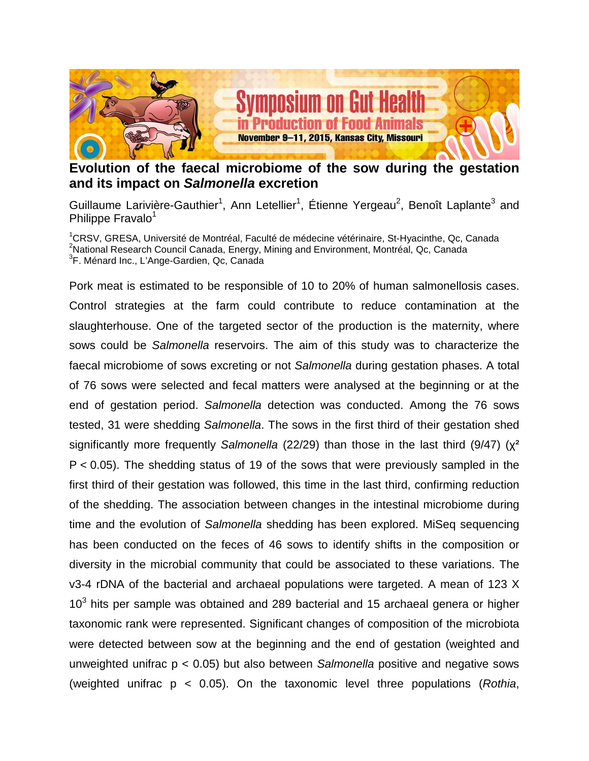

## **Evolution of the faecal microbiome of the sow during the gestation and its impact on** *Salmonella* **excretion**

Guillaume Larivière-Gauthier<sup>1</sup>, Ann Letellier<sup>1</sup>, Étienne Yergeau<sup>2</sup>, Benoît Laplante<sup>3</sup> and Philippe Fravalo<sup>1</sup>

<sup>1</sup>CRSV, GRESA, Université de Montréal, Faculté de médecine vétérinaire, St-Hyacinthe, Qc, Canada <sup>2</sup>National Research Council Canada, Energy, Mining and Environment, Montréal, Qc, Canada <sup>3</sup>F. Ménard Inc., L'Ange-Gardien, Qc, Canada

Pork meat is estimated to be responsible of 10 to 20% of human salmonellosis cases. Control strategies at the farm could contribute to reduce contamination at the slaughterhouse. One of the targeted sector of the production is the maternity, where sows could be *Salmonella* reservoirs. The aim of this study was to characterize the faecal microbiome of sows excreting or not *Salmonella* during gestation phases. A total of 76 sows were selected and fecal matters were analysed at the beginning or at the end of gestation period. *Salmonella* detection was conducted. Among the 76 sows tested, 31 were shedding *Salmonella*. The sows in the first third of their gestation shed significantly more frequently *Salmonella* (22/29) than those in the last third (9/47) (χ² P < 0.05). The shedding status of 19 of the sows that were previously sampled in the first third of their gestation was followed, this time in the last third, confirming reduction of the shedding. The association between changes in the intestinal microbiome during time and the evolution of *Salmonella* shedding has been explored. MiSeq sequencing has been conducted on the feces of 46 sows to identify shifts in the composition or diversity in the microbial community that could be associated to these variations. The v3-4 rDNA of the bacterial and archaeal populations were targeted. A mean of 123 X  $10<sup>3</sup>$  hits per sample was obtained and 289 bacterial and 15 archaeal genera or higher taxonomic rank were represented. Significant changes of composition of the microbiota were detected between sow at the beginning and the end of gestation (weighted and unweighted unifrac p < 0.05) but also between *Salmonella* positive and negative sows (weighted unifrac p < 0.05). On the taxonomic level three populations (*Rothia*,